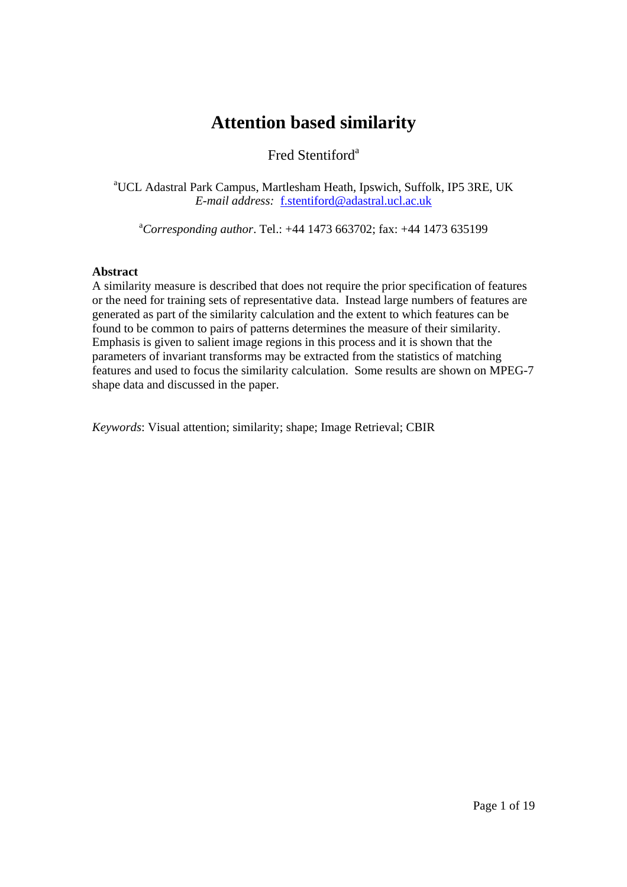# **Attention based similarity**

# Fred Stentiford<sup>a</sup>

<sup>a</sup>UCL Adastral Park Campus, Martlesham Heath, Ipswich, Suffolk, IP5 3RE, UK *E-mail address:* f.stentiford@adastral.ucl.ac.uk

<sup>a</sup>*Corresponding author*. Tel.: +44 1473 663702; fax: +44 1473 635199

# **Abstract**

A similarity measure is described that does not require the prior specification of features or the need for training sets of representative data. Instead large numbers of features are generated as part of the similarity calculation and the extent to which features can be found to be common to pairs of patterns determines the measure of their similarity. Emphasis is given to salient image regions in this process and it is shown that the parameters of invariant transforms may be extracted from the statistics of matching features and used to focus the similarity calculation. Some results are shown on MPEG-7 shape data and discussed in the paper.

*Keywords*: Visual attention; similarity; shape; Image Retrieval; CBIR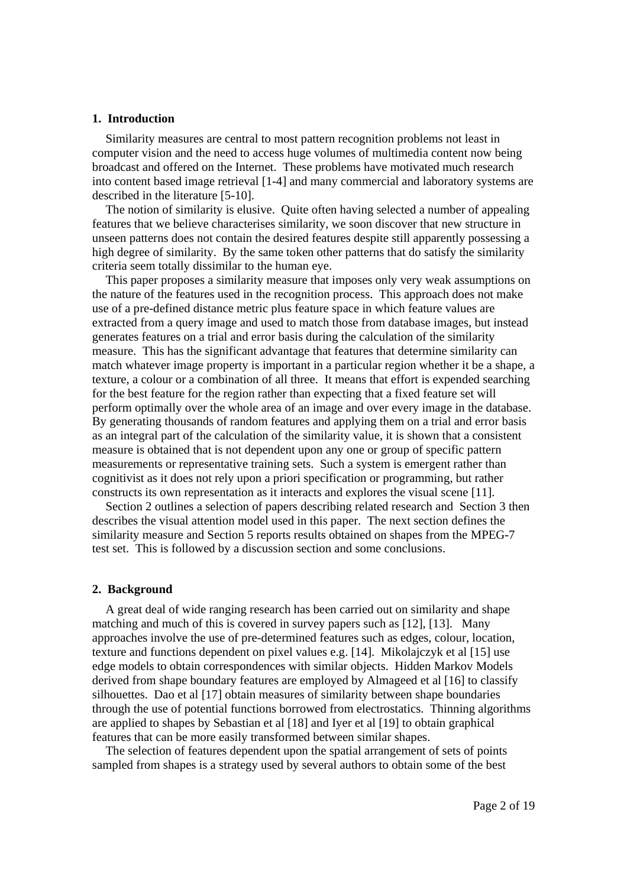#### **1. Introduction**

Similarity measures are central to most pattern recognition problems not least in computer vision and the need to access huge volumes of multimedia content now being broadcast and offered on the Internet. These problems have motivated much research into content based image retrieval [1-4] and many commercial and laboratory systems are described in the literature [5-10].

The notion of similarity is elusive. Quite often having selected a number of appealing features that we believe characterises similarity, we soon discover that new structure in unseen patterns does not contain the desired features despite still apparently possessing a high degree of similarity. By the same token other patterns that do satisfy the similarity criteria seem totally dissimilar to the human eye.

This paper proposes a similarity measure that imposes only very weak assumptions on the nature of the features used in the recognition process. This approach does not make use of a pre-defined distance metric plus feature space in which feature values are extracted from a query image and used to match those from database images, but instead generates features on a trial and error basis during the calculation of the similarity measure. This has the significant advantage that features that determine similarity can match whatever image property is important in a particular region whether it be a shape, a texture, a colour or a combination of all three. It means that effort is expended searching for the best feature for the region rather than expecting that a fixed feature set will perform optimally over the whole area of an image and over every image in the database. By generating thousands of random features and applying them on a trial and error basis as an integral part of the calculation of the similarity value, it is shown that a consistent measure is obtained that is not dependent upon any one or group of specific pattern measurements or representative training sets. Such a system is emergent rather than cognitivist as it does not rely upon a priori specification or programming, but rather constructs its own representation as it interacts and explores the visual scene [11].

Section 2 outlines a selection of papers describing related research and Section 3 then describes the visual attention model used in this paper. The next section defines the similarity measure and Section 5 reports results obtained on shapes from the MPEG-7 test set. This is followed by a discussion section and some conclusions.

#### **2. Background**

A great deal of wide ranging research has been carried out on similarity and shape matching and much of this is covered in survey papers such as [12], [13]. Many approaches involve the use of pre-determined features such as edges, colour, location, texture and functions dependent on pixel values e.g. [14]. Mikolajczyk et al [15] use edge models to obtain correspondences with similar objects. Hidden Markov Models derived from shape boundary features are employed by Almageed et al [16] to classify silhouettes. Dao et al [17] obtain measures of similarity between shape boundaries through the use of potential functions borrowed from electrostatics. Thinning algorithms are applied to shapes by Sebastian et al [18] and Iyer et al [19] to obtain graphical features that can be more easily transformed between similar shapes.

The selection of features dependent upon the spatial arrangement of sets of points sampled from shapes is a strategy used by several authors to obtain some of the best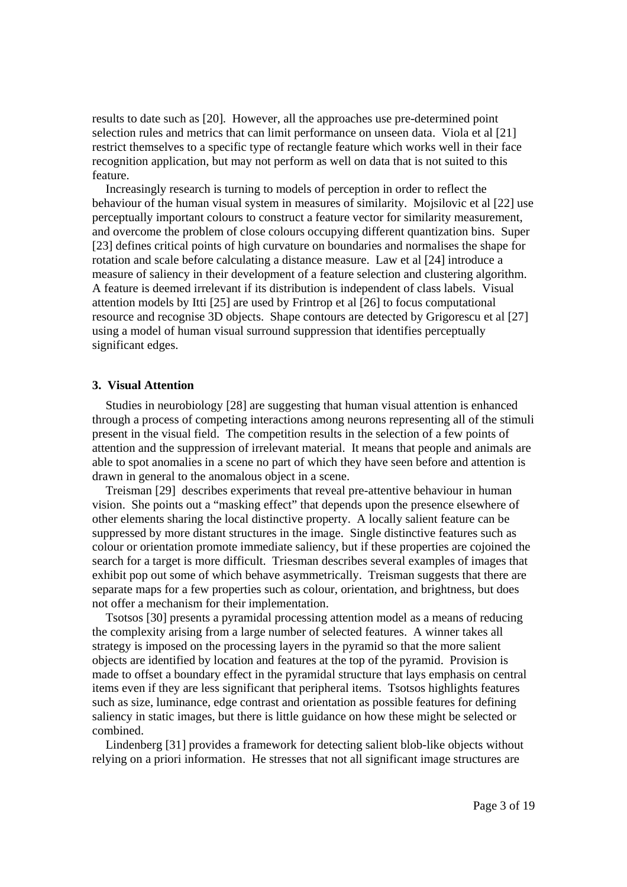results to date such as [20]. However, all the approaches use pre-determined point selection rules and metrics that can limit performance on unseen data. Viola et al [21] restrict themselves to a specific type of rectangle feature which works well in their face recognition application, but may not perform as well on data that is not suited to this feature.

Increasingly research is turning to models of perception in order to reflect the behaviour of the human visual system in measures of similarity. Mojsilovic et al [22] use perceptually important colours to construct a feature vector for similarity measurement, and overcome the problem of close colours occupying different quantization bins. Super [23] defines critical points of high curvature on boundaries and normalises the shape for rotation and scale before calculating a distance measure. Law et al [24] introduce a measure of saliency in their development of a feature selection and clustering algorithm. A feature is deemed irrelevant if its distribution is independent of class labels. Visual attention models by Itti [25] are used by Frintrop et al [26] to focus computational resource and recognise 3D objects. Shape contours are detected by Grigorescu et al [27] using a model of human visual surround suppression that identifies perceptually significant edges.

#### **3. Visual Attention**

Studies in neurobiology [28] are suggesting that human visual attention is enhanced through a process of competing interactions among neurons representing all of the stimuli present in the visual field. The competition results in the selection of a few points of attention and the suppression of irrelevant material. It means that people and animals are able to spot anomalies in a scene no part of which they have seen before and attention is drawn in general to the anomalous object in a scene.

Treisman [29] describes experiments that reveal pre-attentive behaviour in human vision. She points out a "masking effect" that depends upon the presence elsewhere of other elements sharing the local distinctive property. A locally salient feature can be suppressed by more distant structures in the image. Single distinctive features such as colour or orientation promote immediate saliency, but if these properties are cojoined the search for a target is more difficult. Triesman describes several examples of images that exhibit pop out some of which behave asymmetrically. Treisman suggests that there are separate maps for a few properties such as colour, orientation, and brightness, but does not offer a mechanism for their implementation.

Tsotsos [30] presents a pyramidal processing attention model as a means of reducing the complexity arising from a large number of selected features. A winner takes all strategy is imposed on the processing layers in the pyramid so that the more salient objects are identified by location and features at the top of the pyramid. Provision is made to offset a boundary effect in the pyramidal structure that lays emphasis on central items even if they are less significant that peripheral items. Tsotsos highlights features such as size, luminance, edge contrast and orientation as possible features for defining saliency in static images, but there is little guidance on how these might be selected or combined.

Lindenberg [31] provides a framework for detecting salient blob-like objects without relying on a priori information. He stresses that not all significant image structures are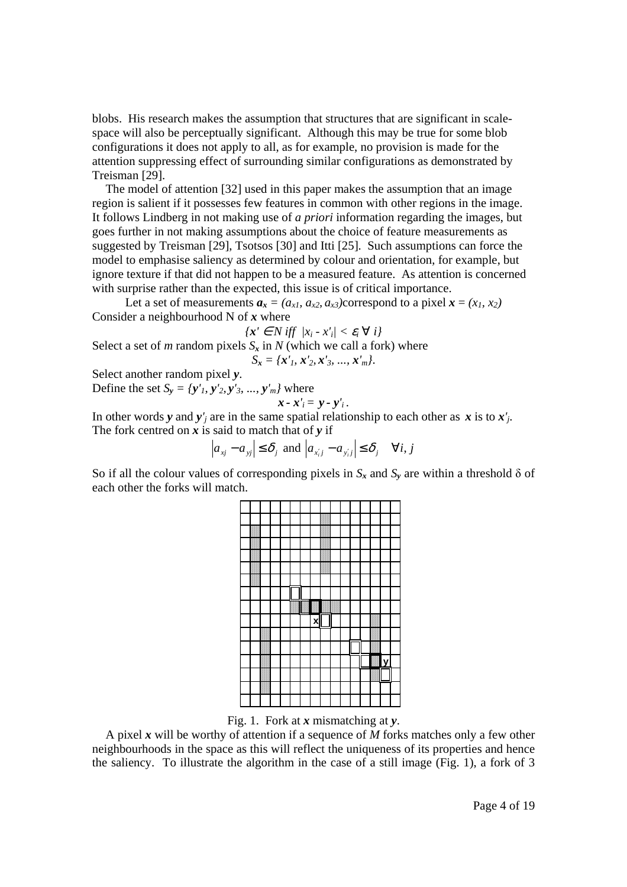blobs. His research makes the assumption that structures that are significant in scalespace will also be perceptually significant. Although this may be true for some blob configurations it does not apply to all, as for example, no provision is made for the attention suppressing effect of surrounding similar configurations as demonstrated by Treisman [29].

The model of attention [32] used in this paper makes the assumption that an image region is salient if it possesses few features in common with other regions in the image. It follows Lindberg in not making use of *a priori* information regarding the images, but goes further in not making assumptions about the choice of feature measurements as suggested by Treisman [29], Tsotsos [30] and Itti [25]. Such assumptions can force the model to emphasise saliency as determined by colour and orientation, for example, but ignore texture if that did not happen to be a measured feature. As attention is concerned with surprise rather than the expected, this issue is of critical importance.

Let a set of measurements  $a_x = (a_{x1}, a_{x2}, a_{x3})$ correspond to a pixel  $x = (x_1, x_2)$ Consider a neighbourhood N of *x* where

$$
\{x' \in N \text{ iff } |x_i - x'_i| < \varepsilon_i \ \forall \ i\}
$$

Select a set of *m* random pixels  $S_x$  in *N* (which we call a fork) where *Sx = {x'1, x'2, x'3, ..., x'm}*.

Select another random pixel *y*.

Define the set  $S_y = \{y\}$ 

$$
'_1
$$
,  $y'_2$ ,  $y'_3$ , ...,  $y'_m$  where

 $x - x' = y - y'$ .

In other words *y* and *y*<sup>*'*</sup><sub>*j*</sub> are in the same spatial relationship to each other as *x* is to  $x'$ <sup>*j*</sup>. The fork centred on  $x$  is said to match that of  $y$  if

$$
\left| a_{xj} - a_{yj} \right| \le \delta_j \text{ and } \left| a_{x'_ij} - a_{y'_ij} \right| \le \delta_j \quad \forall i, j
$$

So if all the colour values of corresponding pixels in  $S_x$  and  $S_y$  are within a threshold  $\delta$  of each other the forks will match.

Fig. 1. Fork at *x* mismatching at *y*.

A pixel *x* will be worthy of attention if a sequence of *M* forks matches only a few other neighbourhoods in the space as this will reflect the uniqueness of its properties and hence the saliency. To illustrate the algorithm in the case of a still image (Fig. 1), a fork of 3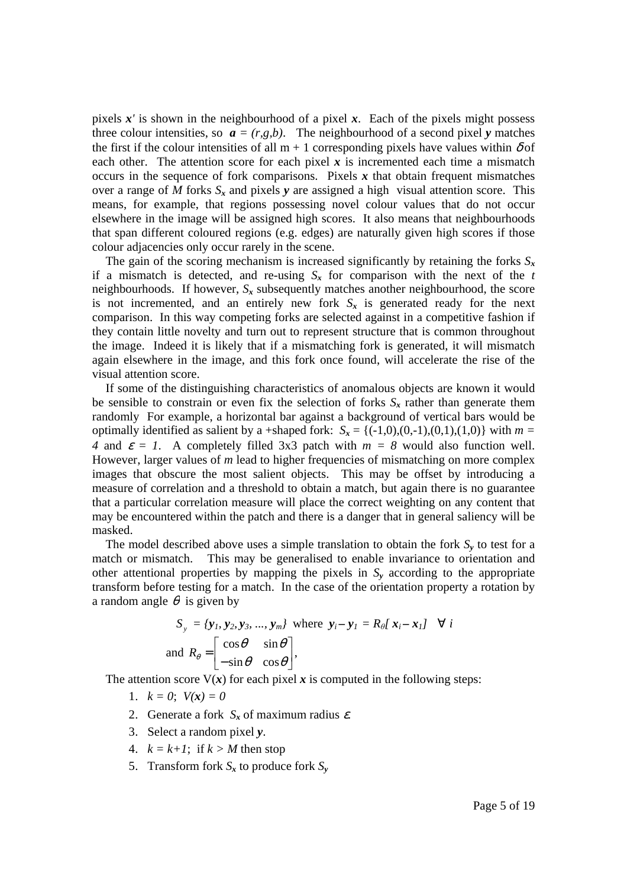pixels *x'* is shown in the neighbourhood of a pixel *x*. Each of the pixels might possess three colour intensities, so  $\mathbf{a} = (r, g, b)$ . The neighbourhood of a second pixel **y** matches the first if the colour intensities of all  $m + 1$  corresponding pixels have values within  $\delta$  of each other. The attention score for each pixel  $x$  is incremented each time a mismatch occurs in the sequence of fork comparisons. Pixels  $x$  that obtain frequent mismatches over a range of *M* forks *Sx* and pixels *y* are assigned a high visual attention score. This means, for example, that regions possessing novel colour values that do not occur elsewhere in the image will be assigned high scores. It also means that neighbourhoods that span different coloured regions (e.g. edges) are naturally given high scores if those colour adjacencies only occur rarely in the scene.

The gain of the scoring mechanism is increased significantly by retaining the forks  $S_x$ if a mismatch is detected, and re-using  $S<sub>x</sub>$  for comparison with the next of the *t* neighbourhoods. If however,  $S_x$  subsequently matches another neighbourhood, the score is not incremented, and an entirely new fork  $S_x$  is generated ready for the next comparison. In this way competing forks are selected against in a competitive fashion if they contain little novelty and turn out to represent structure that is common throughout the image. Indeed it is likely that if a mismatching fork is generated, it will mismatch again elsewhere in the image, and this fork once found, will accelerate the rise of the visual attention score.

If some of the distinguishing characteristics of anomalous objects are known it would be sensible to constrain or even fix the selection of forks  $S<sub>x</sub>$  rather than generate them randomly For example, a horizontal bar against a background of vertical bars would be optimally identified as salient by a +shaped fork:  $S_x = \{(-1,0), (0,-1), (0,1), (1,0)\}$  with  $m =$ *4* and  $\varepsilon = 1$ . A completely filled 3x3 patch with  $m = 8$  would also function well. However, larger values of *m* lead to higher frequencies of mismatching on more complex images that obscure the most salient objects. This may be offset by introducing a measure of correlation and a threshold to obtain a match, but again there is no guarantee that a particular correlation measure will place the correct weighting on any content that may be encountered within the patch and there is a danger that in general saliency will be masked.

The model described above uses a simple translation to obtain the fork *Sy* to test for a match or mismatch. This may be generalised to enable invariance to orientation and other attentional properties by mapping the pixels in  $S<sub>y</sub>$  according to the appropriate transform before testing for a match. In the case of the orientation property a rotation by a random angle  $\theta$  is given by

$$
S_{y} = \{y_{1}, y_{2}, y_{3}, ..., y_{m}\} \text{ where } y_{i} - y_{1} = R_{\theta}[x_{i} - x_{1}] \quad \forall \ i
$$
  
and 
$$
R_{\theta} = \begin{bmatrix} \cos \theta & \sin \theta \\ -\sin \theta & \cos \theta \end{bmatrix},
$$

The attention score  $V(x)$  for each pixel x is computed in the following steps:

- 1.  $k = 0$ ;  $V(x) = 0$
- 2. Generate a fork *Sx* of maximum radius ε*.*
- 3. Select a random pixel *y*.
- 4.  $k = k+1$ ; if  $k > M$  then stop
- 5. Transform fork  $S_x$  to produce fork  $S_y$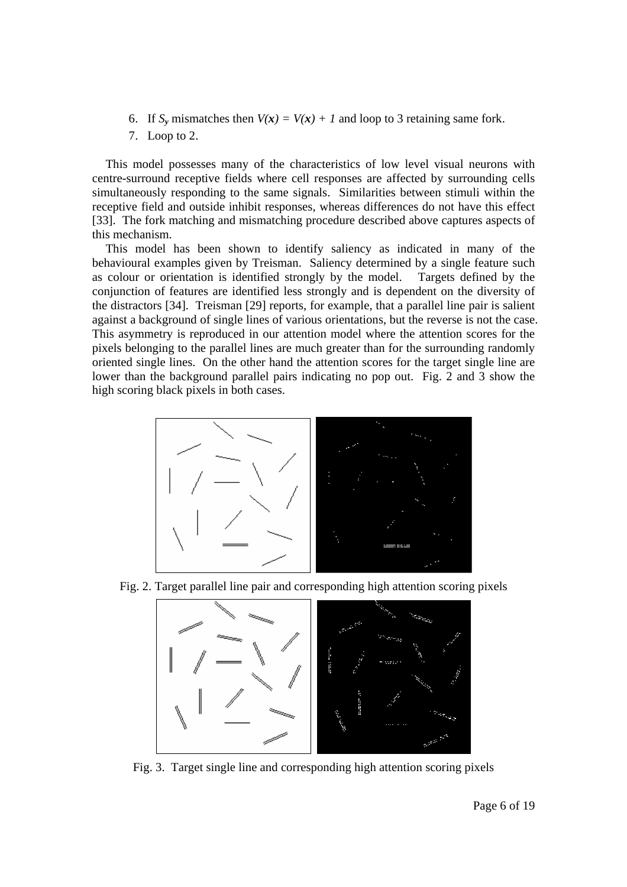- 6. If  $S_\nu$  mismatches then  $V(x) = V(x) + 1$  and loop to 3 retaining same fork.
- 7. Loop to 2.

This model possesses many of the characteristics of low level visual neurons with centre-surround receptive fields where cell responses are affected by surrounding cells simultaneously responding to the same signals. Similarities between stimuli within the receptive field and outside inhibit responses, whereas differences do not have this effect [33]. The fork matching and mismatching procedure described above captures aspects of this mechanism.

This model has been shown to identify saliency as indicated in many of the behavioural examples given by Treisman. Saliency determined by a single feature such as colour or orientation is identified strongly by the model. Targets defined by the conjunction of features are identified less strongly and is dependent on the diversity of the distractors [34]. Treisman [29] reports, for example, that a parallel line pair is salient against a background of single lines of various orientations, but the reverse is not the case. This asymmetry is reproduced in our attention model where the attention scores for the pixels belonging to the parallel lines are much greater than for the surrounding randomly oriented single lines. On the other hand the attention scores for the target single line are lower than the background parallel pairs indicating no pop out. Fig. 2 and 3 show the high scoring black pixels in both cases.





Fig. 2. Target parallel line pair and corresponding high attention scoring pixels

Fig. 3. Target single line and corresponding high attention scoring pixels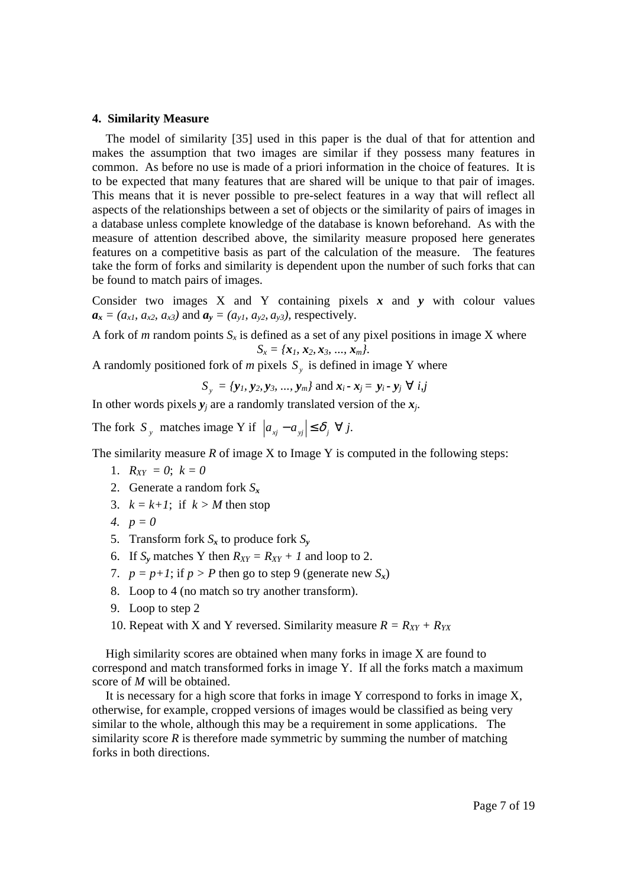#### **4. Similarity Measure**

The model of similarity [35] used in this paper is the dual of that for attention and makes the assumption that two images are similar if they possess many features in common. As before no use is made of a priori information in the choice of features. It is to be expected that many features that are shared will be unique to that pair of images. This means that it is never possible to pre-select features in a way that will reflect all aspects of the relationships between a set of objects or the similarity of pairs of images in a database unless complete knowledge of the database is known beforehand. As with the measure of attention described above, the similarity measure proposed here generates features on a competitive basis as part of the calculation of the measure. The features take the form of forks and similarity is dependent upon the number of such forks that can be found to match pairs of images.

Consider two images X and Y containing pixels *x* and *y* with colour values  $a_x = (a_{x1}, a_{x2}, a_{x3})$  and  $a_y = (a_{y1}, a_{y2}, a_{y3})$ , respectively.

A fork of *m* random points  $S_x$  is defined as a set of any pixel positions in image X where  $S_x = \{x_1, x_2, x_3, \ldots, x_m\}.$ 

A randomly positioned fork of  $m$  pixels  $S<sub>y</sub>$  is defined in image Y where

 $S_y = \{y_1, y_2, y_3, ..., y_m\}$  and  $x_i - x_j = y_i - y_j \ \forall i, j$ 

In other words pixels  $y_j$  are a randomly translated version of the  $x_j$ .

The fork  $S_y$  matches image Y if  $|a_{xy} - a_{y}| \le \delta_j \ \forall j$ .

The similarity measure  $R$  of image  $X$  to Image  $Y$  is computed in the following steps:

- 1.  $R_{XY} = 0; k = 0$
- 2. Generate a random fork *S<sup>x</sup>*
- 3.  $k = k+1$ ; if  $k > M$  then stop
- *4. p = 0*
- 5. Transform fork  $S_x$  to produce fork  $S_y$
- 6. If  $S_y$  matches Y then  $R_{XY} = R_{XY} + 1$  and loop to 2.
- 7.  $p = p+1$ ; if  $p > P$  then go to step 9 (generate new  $S<sub>x</sub>$ )
- 8. Loop to 4 (no match so try another transform).
- 9. Loop to step 2
- 10. Repeat with X and Y reversed. Similarity measure  $R = R_{XY} + R_{YX}$

High similarity scores are obtained when many forks in image  $X$  are found to correspond and match transformed forks in image Y. If all the forks match a maximum score of *M* will be obtained.

It is necessary for a high score that forks in image Y correspond to forks in image X, otherwise, for example, cropped versions of images would be classified as being very similar to the whole, although this may be a requirement in some applications. The similarity score  $R$  is therefore made symmetric by summing the number of matching forks in both directions.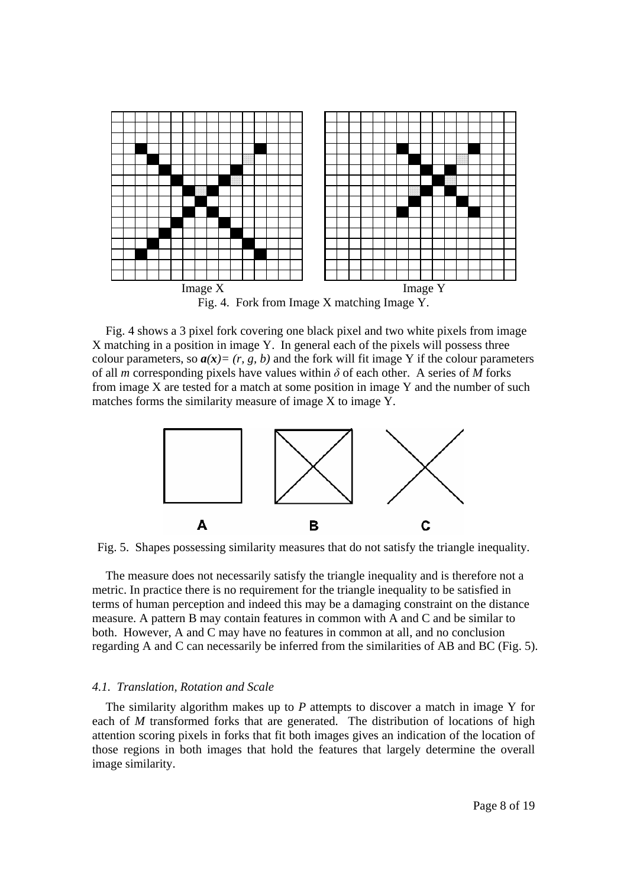

Fig. 4. Fork from Image X matching Image Y.

Fig. 4 shows a 3 pixel fork covering one black pixel and two white pixels from image X matching in a position in image Y. In general each of the pixels will possess three colour parameters, so  $a(x) = (r, g, b)$  and the fork will fit image Y if the colour parameters of all *m* corresponding pixels have values within  $\delta$  of each other. A series of *M* forks from image X are tested for a match at some position in image Y and the number of such matches forms the similarity measure of image X to image Y.



Fig. 5. Shapes possessing similarity measures that do not satisfy the triangle inequality.

The measure does not necessarily satisfy the triangle inequality and is therefore not a metric. In practice there is no requirement for the triangle inequality to be satisfied in terms of human perception and indeed this may be a damaging constraint on the distance measure. A pattern B may contain features in common with A and C and be similar to both. However, A and C may have no features in common at all, and no conclusion regarding A and C can necessarily be inferred from the similarities of AB and BC (Fig. 5).

# *4.1. Translation, Rotation and Scale*

The similarity algorithm makes up to *P* attempts to discover a match in image Y for each of *M* transformed forks that are generated. The distribution of locations of high attention scoring pixels in forks that fit both images gives an indication of the location of those regions in both images that hold the features that largely determine the overall image similarity.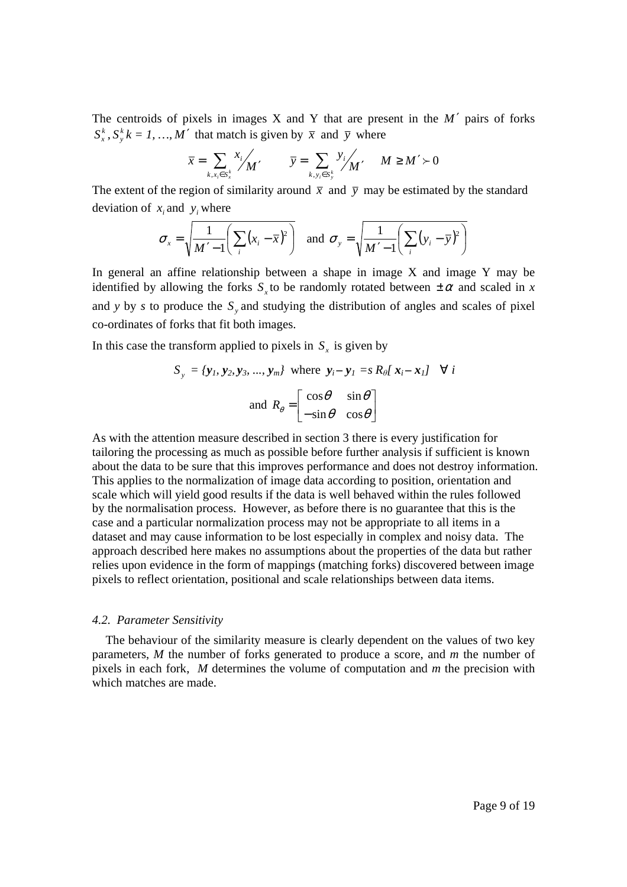The centroids of pixels in images  $X$  and  $Y$  that are present in the  $M'$  pairs of forks *k*  $S_x^k$ ,  $S_y^k$  *k* = 1, ..., *M* ′ that match is given by *x* and *y* where

$$
\overline{x} = \sum_{k, x_i \in S_x^k} \frac{x_i}{M}, \qquad \overline{y} = \sum_{k, y_i \in S_y^k} \frac{y_i}{M}, \qquad M \ge M' \succ 0
$$

The extent of the region of similarity around  $\bar{x}$  and  $\bar{y}$  may be estimated by the standard deviation of  $x_i$  and  $y_i$  where

$$
\sigma_x = \sqrt{\frac{1}{M'-1} \left( \sum_i (x_i - \overline{x})^2 \right)} \text{ and } \sigma_y = \sqrt{\frac{1}{M'-1} \left( \sum_i (y_i - \overline{y})^2 \right)}
$$

In general an affine relationship between a shape in image  $X$  and image  $Y$  may be identified by allowing the forks  $S<sub>x</sub>$  to be randomly rotated between  $\pm \alpha$  and scaled in *x* and *y* by *s* to produce the  $S<sub>y</sub>$  and studying the distribution of angles and scales of pixel co-ordinates of forks that fit both images.

In this case the transform applied to pixels in  $S<sub>x</sub>$  is given by

$$
S_{y} = \{y_{1}, y_{2}, y_{3}, ..., y_{m}\} \text{ where } y_{i} - y_{1} = s R_{\theta}[x_{i} - x_{1}] \quad \forall i
$$
  
and 
$$
R_{\theta} = \begin{bmatrix} \cos \theta & \sin \theta \\ -\sin \theta & \cos \theta \end{bmatrix}
$$

As with the attention measure described in section 3 there is every justification for tailoring the processing as much as possible before further analysis if sufficient is known about the data to be sure that this improves performance and does not destroy information. This applies to the normalization of image data according to position, orientation and scale which will yield good results if the data is well behaved within the rules followed by the normalisation process. However, as before there is no guarantee that this is the case and a particular normalization process may not be appropriate to all items in a dataset and may cause information to be lost especially in complex and noisy data. The approach described here makes no assumptions about the properties of the data but rather relies upon evidence in the form of mappings (matching forks) discovered between image pixels to reflect orientation, positional and scale relationships between data items.

#### *4.2. Parameter Sensitivity*

The behaviour of the similarity measure is clearly dependent on the values of two key parameters, *M* the number of forks generated to produce a score, and *m* the number of pixels in each fork, *M* determines the volume of computation and *m* the precision with which matches are made.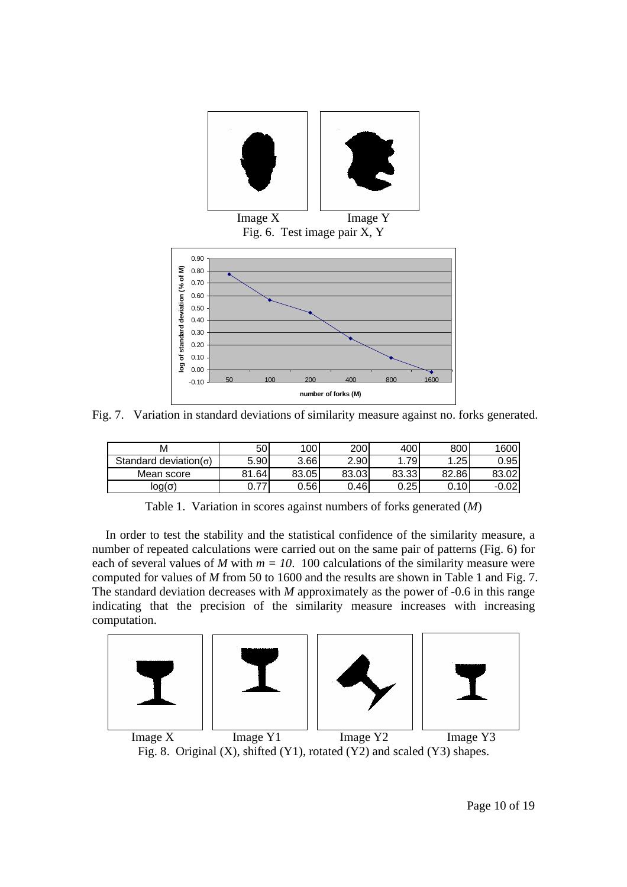

Fig. 7. Variation in standard deviations of similarity measure against no. forks generated.

| M                              | 50    | 00    | 200   | 400   | 800   | 1600    |
|--------------------------------|-------|-------|-------|-------|-------|---------|
| Standard deviation( $\sigma$ ) | 5.90  | 3.66  | 2.90  | 791   | .25   | 0.95    |
| Mean score                     | 81.64 | 83.05 | 83.03 | 83.33 | 82.86 | 83.02   |
| $log(\sigma)$                  | 77    | 0.561 | 0.46  | 0.25  | 0.10  | $-0.02$ |

Table 1. Variation in scores against numbers of forks generated (*M*)

In order to test the stability and the statistical confidence of the similarity measure, a number of repeated calculations were carried out on the same pair of patterns (Fig. 6) for each of several values of *M* with  $m = 10$ . 100 calculations of the similarity measure were computed for values of *M* from 50 to 1600 and the results are shown in Table 1 and Fig. 7. The standard deviation decreases with *M* approximately as the power of -0.6 in this range indicating that the precision of the similarity measure increases with increasing computation.



Fig. 8. Original (X), shifted (Y1), rotated (Y2) and scaled (Y3) shapes.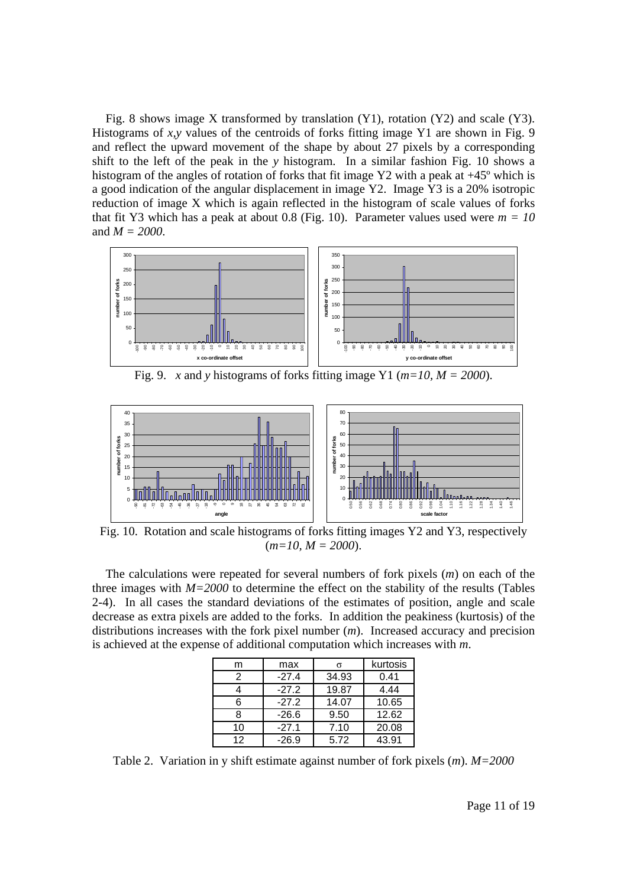Fig. 8 shows image X transformed by translation  $(Y1)$ , rotation  $(Y2)$  and scale  $(Y3)$ . Histograms of *x*, *y* values of the centroids of forks fitting image Y1 are shown in Fig. 9 and reflect the upward movement of the shape by about 27 pixels by a corresponding shift to the left of the peak in the *y* histogram. In a similar fashion Fig. 10 shows a histogram of the angles of rotation of forks that fit image Y2 with a peak at  $+45^{\circ}$  which is a good indication of the angular displacement in image Y2. Image Y3 is a 20% isotropic reduction of image X which is again reflected in the histogram of scale values of forks that fit Y3 which has a peak at about 0.8 (Fig. 10). Parameter values used were  $m = 10$ and *M = 2000*.



Fig. 9. *x* and *y* histograms of forks fitting image Y1 ( $m=10$ ,  $M = 2000$ ).



Fig. 10. Rotation and scale histograms of forks fitting images Y2 and Y3, respectively  $(m=10, M = 2000).$ 

The calculations were repeated for several numbers of fork pixels (*m*) on each of the three images with  $M=2000$  to determine the effect on the stability of the results (Tables 2-4). In all cases the standard deviations of the estimates of position, angle and scale decrease as extra pixels are added to the forks. In addition the peakiness (kurtosis) of the distributions increases with the fork pixel number (*m*). Increased accuracy and precision is achieved at the expense of additional computation which increases with *m*.

| m  | max     | ᡴ     | kurtosis |
|----|---------|-------|----------|
| 2  | $-27.4$ | 34.93 | 0.41     |
|    | $-27.2$ | 19.87 | 4.44     |
| հ  | $-27.2$ | 14.07 | 10.65    |
| 8  | $-26.6$ | 9.50  | 12.62    |
| 10 | $-27.1$ | 7.10  | 20.08    |
| 12 | $-26.9$ | 5.72  | 43.91    |

Table 2. Variation in y shift estimate against number of fork pixels (*m*). *M=2000*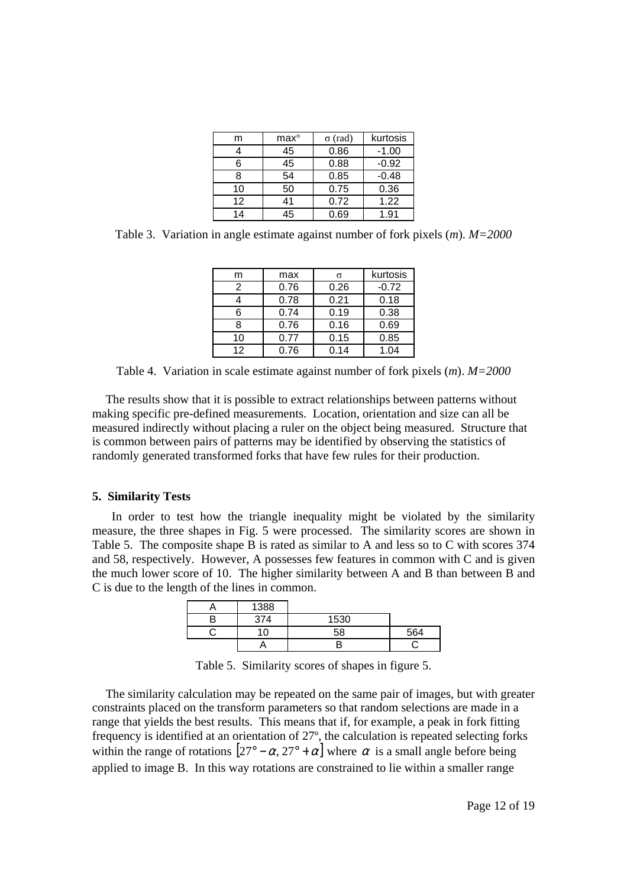| m  | max <sup>o</sup> | $\sigma$ (rad) | kurtosis |
|----|------------------|----------------|----------|
|    | 45               | 0.86           | $-1.00$  |
| հ  | 45               | 0.88           | $-0.92$  |
| 8  | 54               | 0.85           | $-0.48$  |
| 10 | 50               | 0.75           | 0.36     |
| 12 | 41               | 0.72           | 1.22     |
| 14 | 45               | 0.69           | 1.91     |

Table 3. Variation in angle estimate against number of fork pixels (*m*). *M=2000* 

| m  | max  | σ    | kurtosis |
|----|------|------|----------|
| 2  | 0.76 | 0.26 | $-0.72$  |
|    | 0.78 | 0.21 | 0.18     |
| հ  | 0.74 | 0.19 | 0.38     |
| 8  | 0.76 | 0.16 | 0.69     |
| 10 | 0.77 | 0.15 | 0.85     |
| 12 | 0.76 | 0.14 | 1.04     |

Table 4. Variation in scale estimate against number of fork pixels (*m*). *M=2000*

The results show that it is possible to extract relationships between patterns without making specific pre-defined measurements. Location, orientation and size can all be measured indirectly without placing a ruler on the object being measured. Structure that is common between pairs of patterns may be identified by observing the statistics of randomly generated transformed forks that have few rules for their production.

# **5. Similarity Tests**

 In order to test how the triangle inequality might be violated by the similarity measure, the three shapes in Fig. 5 were processed. The similarity scores are shown in Table 5. The composite shape B is rated as similar to A and less so to C with scores 374 and 58, respectively. However, A possesses few features in common with C and is given the much lower score of 10. The higher similarity between A and B than between B and C is due to the length of the lines in common.

| 1388              |      |     |
|-------------------|------|-----|
| $\sim$ 7 $\prime$ | 1530 |     |
|                   | 58   | 564 |
|                   |      |     |

Table 5. Similarity scores of shapes in figure 5.

The similarity calculation may be repeated on the same pair of images, but with greater constraints placed on the transform parameters so that random selections are made in a range that yields the best results. This means that if, for example, a peak in fork fitting frequency is identified at an orientation of 27º, the calculation is repeated selecting forks within the range of rotations  $[27^\circ - \alpha, 27^\circ + \alpha]$  where  $\alpha$  is a small angle before being applied to image B. In this way rotations are constrained to lie within a smaller range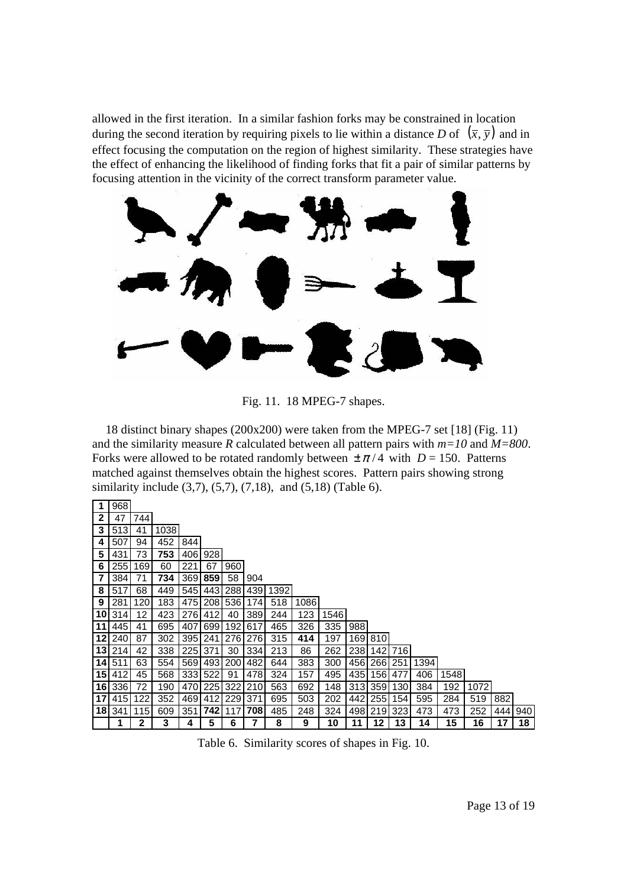allowed in the first iteration. In a similar fashion forks may be constrained in location during the second iteration by requiring pixels to lie within a distance *D* of  $(\bar{x}, \bar{y})$  and in effect focusing the computation on the region of highest similarity. These strategies have the effect of enhancing the likelihood of finding forks that fit a pair of similar patterns by focusing attention in the vicinity of the correct transform parameter value.



Fig. 11. 18 MPEG-7 shapes.

18 distinct binary shapes (200x200) were taken from the MPEG-7 set [18] (Fig. 11) and the similarity measure *R* calculated between all pattern pairs with *m=10* and *M=800*. Forks were allowed to be rotated randomly between  $\pm \pi/4$  with *D* = 150. Patterns matched against themselves obtain the highest scores. Pattern pairs showing strong similarity include (3,7), (5,7), (7,18), and (5,18) (Table 6).

|     | 968 |     |      |     |     |     |     |      |      |      |                  |     |      |      |      |      |     |     |
|-----|-----|-----|------|-----|-----|-----|-----|------|------|------|------------------|-----|------|------|------|------|-----|-----|
| 2   | 47  | 744 |      |     |     |     |     |      |      |      |                  |     |      |      |      |      |     |     |
| 3   | 513 | 41  | 1038 |     |     |     |     |      |      |      |                  |     |      |      |      |      |     |     |
| 4   | 507 | 94  | 452  | 844 |     |     |     |      |      |      |                  |     |      |      |      |      |     |     |
| 5   | 431 | 73  | 753  | 406 | 928 |     |     |      |      |      |                  |     |      |      |      |      |     |     |
| 6   | 255 | 169 | 60   | 221 | 67  | 960 |     |      |      |      |                  |     |      |      |      |      |     |     |
|     | 384 | 71  | 734  | 369 | 859 | 58  | 904 |      |      |      |                  |     |      |      |      |      |     |     |
| 8   | 517 | 68  | 449  | 545 | 443 | 288 | 439 | 1392 |      |      |                  |     |      |      |      |      |     |     |
| 9   | 281 | 120 | 183  | 475 | 208 | 536 | 174 | 518  | 1086 |      |                  |     |      |      |      |      |     |     |
| 101 | 314 | 12  | 423  | 276 | 412 | 40  | 389 | 244  | 123  | 1546 |                  |     |      |      |      |      |     |     |
|     | 445 | 41  | 695  | 407 | 699 | 192 | 617 | 465  | 326  | 335  | 988              |     |      |      |      |      |     |     |
| 12  | 240 | 87  | 302  | 395 | 241 | 276 | 276 | 315  | 414  | 197  | 169 <sup>°</sup> | 810 |      |      |      |      |     |     |
| 13  | 214 | 42  | 338  | 225 | 371 | 30  | 334 | 213  | 86   | 262  | 238              | 142 | 716l |      |      |      |     |     |
| 14  | 511 | 63  | 554  | 569 | 493 | 200 | 482 | 644  | 383  | 300  | 4561             | 266 | 251  | 1394 |      |      |     |     |
| 15  | 412 | 45  | 568  | 333 | 522 | 91  | 478 | 324  | 157  | 495  | 435              | 156 | 477  | 406  | 1548 |      |     |     |
| 16  | 336 | 72  | 190  | 470 | 225 | 322 | 210 | 563  | 692  | 148  | 313              | 359 | 130  | 384  | 192  | 1072 |     |     |
|     | 415 | 122 | 352  | 469 | 412 | 229 | 371 | 695  | 503  | 202  | 442              | 255 | 154  | 595  | 284  | 519  | 882 |     |
| 18  | 341 | 115 | 609  | 351 | 742 | 117 | 708 | 485  | 248  | 324  | 498              | 219 | 323  | 473  | 473  | 252  | 444 | 940 |
|     |     | 2   | 3    | 4   | 5   | 6   |     | 8    | 9    | 10   | 11               | 12  | 13   | 14   | 15   | 16   | 17  | 18  |

Table 6. Similarity scores of shapes in Fig. 10.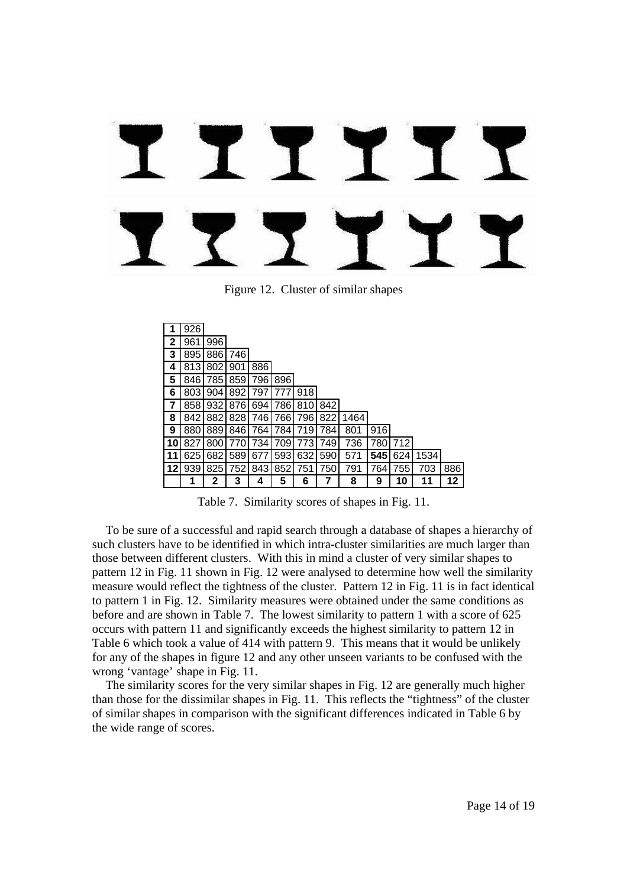Figure 12. Cluster of similar shapes

|    | 1   | 2   | 3   | 4   | 5   | 6   | 7    | 8    | 9   | 10  | 11   | 12  |
|----|-----|-----|-----|-----|-----|-----|------|------|-----|-----|------|-----|
| 12 | 939 | 825 | 752 | 843 | 852 | 751 | 750  | 791  | 764 | 755 | 703  | 886 |
| 11 | 625 | 682 | 589 | 677 | 593 | 632 | 590  | 571  | 545 | 624 | 1534 |     |
| 10 | 827 | 800 | 770 | 734 | 709 | 773 | 749  | 736  | 780 | 712 |      |     |
| 9  | 880 | 889 | 846 | 764 | 784 | 719 | 784  | 801  | 916 |     |      |     |
| 8  | 842 | 882 | 828 | 746 | 766 | 796 | 822  | 1464 |     |     |      |     |
| 7  | 858 | 932 | 876 | 694 | 786 | 810 | 8421 |      |     |     |      |     |
| 6  | 803 | 904 | 892 | 797 | 777 | 918 |      |      |     |     |      |     |
| 5  | 846 | 785 | 859 | 796 | 896 |     |      |      |     |     |      |     |
| 4  | 813 | 802 | 901 | 886 |     |     |      |      |     |     |      |     |
| 3  | 895 | 886 | 746 |     |     |     |      |      |     |     |      |     |
| 2  | 961 | 996 |     |     |     |     |      |      |     |     |      |     |
|    | 926 |     |     |     |     |     |      |      |     |     |      |     |

Table 7. Similarity scores of shapes in Fig. 11.

To be sure of a successful and rapid search through a database of shapes a hierarchy of such clusters have to be identified in which intra-cluster similarities are much larger than those between different clusters. With this in mind a cluster of very similar shapes to pattern 12 in Fig. 11 shown in Fig. 12 were analysed to determine how well the similarity measure would reflect the tightness of the cluster. Pattern 12 in Fig. 11 is in fact identical to pattern 1 in Fig. 12. Similarity measures were obtained under the same conditions as before and are shown in Table 7. The lowest similarity to pattern 1 with a score of 625 occurs with pattern 11 and significantly exceeds the highest similarity to pattern 12 in Table 6 which took a value of 414 with pattern 9. This means that it would be unlikely for any of the shapes in figure 12 and any other unseen variants to be confused with the wrong 'vantage' shape in Fig. 11.

The similarity scores for the very similar shapes in Fig. 12 are generally much higher than those for the dissimilar shapes in Fig. 11. This reflects the "tightness" of the cluster of similar shapes in comparison with the significant differences indicated in Table 6 by the wide range of scores.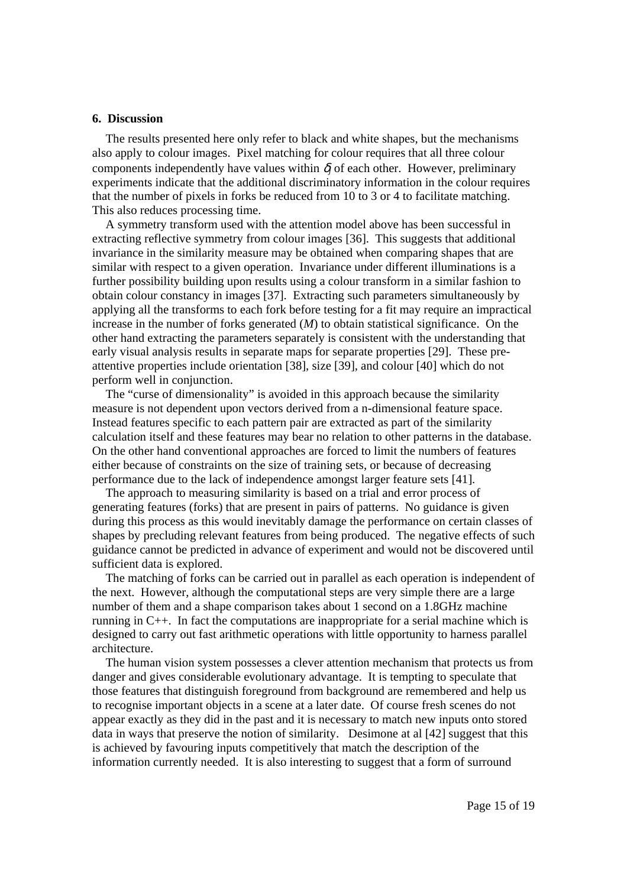#### **6. Discussion**

The results presented here only refer to black and white shapes, but the mechanisms also apply to colour images. Pixel matching for colour requires that all three colour components independently have values within  $\delta$  of each other. However, preliminary experiments indicate that the additional discriminatory information in the colour requires that the number of pixels in forks be reduced from 10 to 3 or 4 to facilitate matching. This also reduces processing time.

A symmetry transform used with the attention model above has been successful in extracting reflective symmetry from colour images [36]. This suggests that additional invariance in the similarity measure may be obtained when comparing shapes that are similar with respect to a given operation. Invariance under different illuminations is a further possibility building upon results using a colour transform in a similar fashion to obtain colour constancy in images [37]. Extracting such parameters simultaneously by applying all the transforms to each fork before testing for a fit may require an impractical increase in the number of forks generated (*M*) to obtain statistical significance. On the other hand extracting the parameters separately is consistent with the understanding that early visual analysis results in separate maps for separate properties [29]. These preattentive properties include orientation [38], size [39], and colour [40] which do not perform well in conjunction.

The "curse of dimensionality" is avoided in this approach because the similarity measure is not dependent upon vectors derived from a n-dimensional feature space. Instead features specific to each pattern pair are extracted as part of the similarity calculation itself and these features may bear no relation to other patterns in the database. On the other hand conventional approaches are forced to limit the numbers of features either because of constraints on the size of training sets, or because of decreasing performance due to the lack of independence amongst larger feature sets [41].

The approach to measuring similarity is based on a trial and error process of generating features (forks) that are present in pairs of patterns. No guidance is given during this process as this would inevitably damage the performance on certain classes of shapes by precluding relevant features from being produced. The negative effects of such guidance cannot be predicted in advance of experiment and would not be discovered until sufficient data is explored.

The matching of forks can be carried out in parallel as each operation is independent of the next. However, although the computational steps are very simple there are a large number of them and a shape comparison takes about 1 second on a 1.8GHz machine running in C++. In fact the computations are inappropriate for a serial machine which is designed to carry out fast arithmetic operations with little opportunity to harness parallel architecture.

The human vision system possesses a clever attention mechanism that protects us from danger and gives considerable evolutionary advantage. It is tempting to speculate that those features that distinguish foreground from background are remembered and help us to recognise important objects in a scene at a later date. Of course fresh scenes do not appear exactly as they did in the past and it is necessary to match new inputs onto stored data in ways that preserve the notion of similarity. Desimone at al [42] suggest that this is achieved by favouring inputs competitively that match the description of the information currently needed. It is also interesting to suggest that a form of surround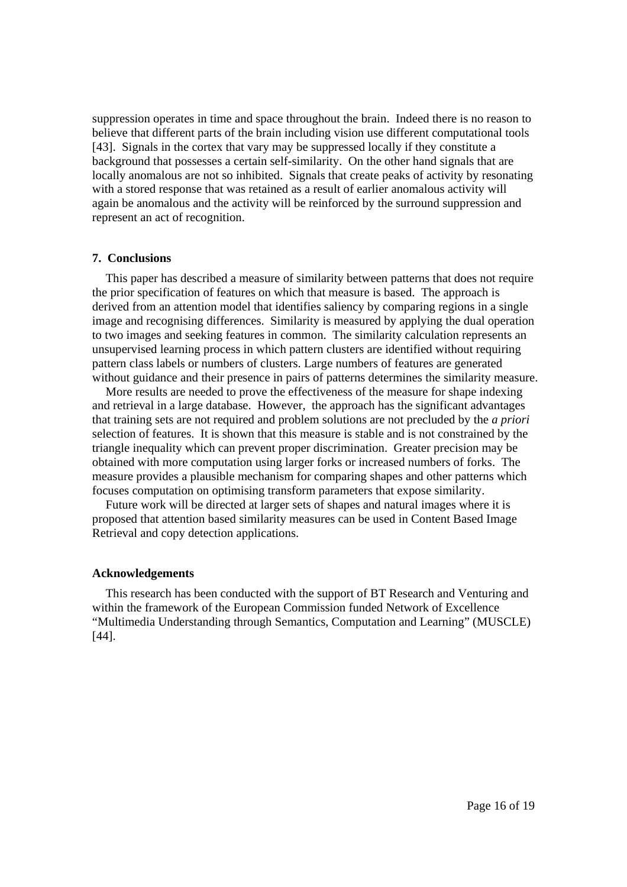suppression operates in time and space throughout the brain. Indeed there is no reason to believe that different parts of the brain including vision use different computational tools [43]. Signals in the cortex that vary may be suppressed locally if they constitute a background that possesses a certain self-similarity. On the other hand signals that are locally anomalous are not so inhibited. Signals that create peaks of activity by resonating with a stored response that was retained as a result of earlier anomalous activity will again be anomalous and the activity will be reinforced by the surround suppression and represent an act of recognition.

#### **7. Conclusions**

This paper has described a measure of similarity between patterns that does not require the prior specification of features on which that measure is based. The approach is derived from an attention model that identifies saliency by comparing regions in a single image and recognising differences. Similarity is measured by applying the dual operation to two images and seeking features in common. The similarity calculation represents an unsupervised learning process in which pattern clusters are identified without requiring pattern class labels or numbers of clusters. Large numbers of features are generated without guidance and their presence in pairs of patterns determines the similarity measure.

More results are needed to prove the effectiveness of the measure for shape indexing and retrieval in a large database. However, the approach has the significant advantages that training sets are not required and problem solutions are not precluded by the *a priori* selection of features. It is shown that this measure is stable and is not constrained by the triangle inequality which can prevent proper discrimination. Greater precision may be obtained with more computation using larger forks or increased numbers of forks. The measure provides a plausible mechanism for comparing shapes and other patterns which focuses computation on optimising transform parameters that expose similarity.

Future work will be directed at larger sets of shapes and natural images where it is proposed that attention based similarity measures can be used in Content Based Image Retrieval and copy detection applications.

#### **Acknowledgements**

This research has been conducted with the support of BT Research and Venturing and within the framework of the European Commission funded Network of Excellence "Multimedia Understanding through Semantics, Computation and Learning" (MUSCLE) [44].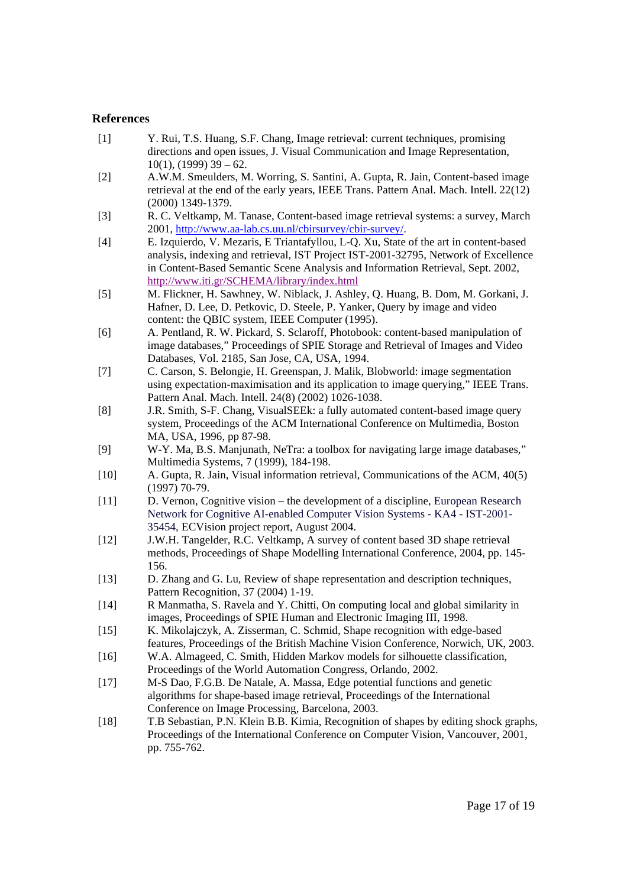### **References**

- [1] Y. Rui, T.S. Huang, S.F. Chang, Image retrieval: current techniques, promising directions and open issues, J. Visual Communication and Image Representation,  $10(1)$ ,  $(1999)$  39 – 62.
- [2] A.W.M. Smeulders, M. Worring, S. Santini, A. Gupta, R. Jain, Content-based image retrieval at the end of the early years, IEEE Trans. Pattern Anal. Mach. Intell. 22(12) (2000) 1349-1379.
- [3] R. C. Veltkamp, M. Tanase, Content-based image retrieval systems: a survey, March 2001, http://www.aa-lab.cs.uu.nl/cbirsurvey/cbir-survey/.
- [4] E. Izquierdo, V. Mezaris, E Triantafyllou, L-Q. Xu, State of the art in content-based analysis, indexing and retrieval, IST Project IST-2001-32795, Network of Excellence in Content-Based Semantic Scene Analysis and Information Retrieval, Sept. 2002, http://www.iti.gr/SCHEMA/library/index.html
- [5] M. Flickner, H. Sawhney, W. Niblack, J. Ashley, Q. Huang, B. Dom, M. Gorkani, J. Hafner, D. Lee, D. Petkovic, D. Steele, P. Yanker, Query by image and video content: the QBIC system, IEEE Computer (1995).
- [6] A. Pentland, R. W. Pickard, S. Sclaroff, Photobook: content-based manipulation of image databases," Proceedings of SPIE Storage and Retrieval of Images and Video Databases, Vol. 2185, San Jose, CA, USA, 1994.
- [7] C. Carson, S. Belongie, H. Greenspan, J. Malik, Blobworld: image segmentation using expectation-maximisation and its application to image querying," IEEE Trans. Pattern Anal. Mach. Intell. 24(8) (2002) 1026-1038.
- [8] J.R. Smith, S-F. Chang, VisualSEEk: a fully automated content-based image query system, Proceedings of the ACM International Conference on Multimedia, Boston MA, USA, 1996, pp 87-98.
- [9] W-Y. Ma, B.S. Manjunath, NeTra: a toolbox for navigating large image databases," Multimedia Systems, 7 (1999), 184-198.
- [10] A. Gupta, R. Jain, Visual information retrieval, Communications of the ACM, 40(5) (1997) 70-79.
- [11] D. Vernon, Cognitive vision the development of a discipline, European Research Network for Cognitive AI-enabled Computer Vision Systems - KA4 - IST-2001- 35454, ECVision project report, August 2004.
- [12] J.W.H. Tangelder, R.C. Veltkamp, A survey of content based 3D shape retrieval methods, Proceedings of Shape Modelling International Conference, 2004, pp. 145- 156.
- [13] D. Zhang and G. Lu, Review of shape representation and description techniques, Pattern Recognition, 37 (2004) 1-19.
- [14] R Manmatha, S. Ravela and Y. Chitti, On computing local and global similarity in images, Proceedings of SPIE Human and Electronic Imaging III, 1998.
- [15] K. Mikolajczyk, A. Zisserman, C. Schmid, Shape recognition with edge-based features, Proceedings of the British Machine Vision Conference, Norwich, UK, 2003.
- [16] W.A. Almageed, C. Smith, Hidden Markov models for silhouette classification, Proceedings of the World Automation Congress, Orlando, 2002.
- [17] M-S Dao, F.G.B. De Natale, A. Massa, Edge potential functions and genetic algorithms for shape-based image retrieval, Proceedings of the International Conference on Image Processing, Barcelona, 2003.
- [18] T.B Sebastian, P.N. Klein B.B. Kimia, Recognition of shapes by editing shock graphs, Proceedings of the International Conference on Computer Vision, Vancouver, 2001, pp. 755-762.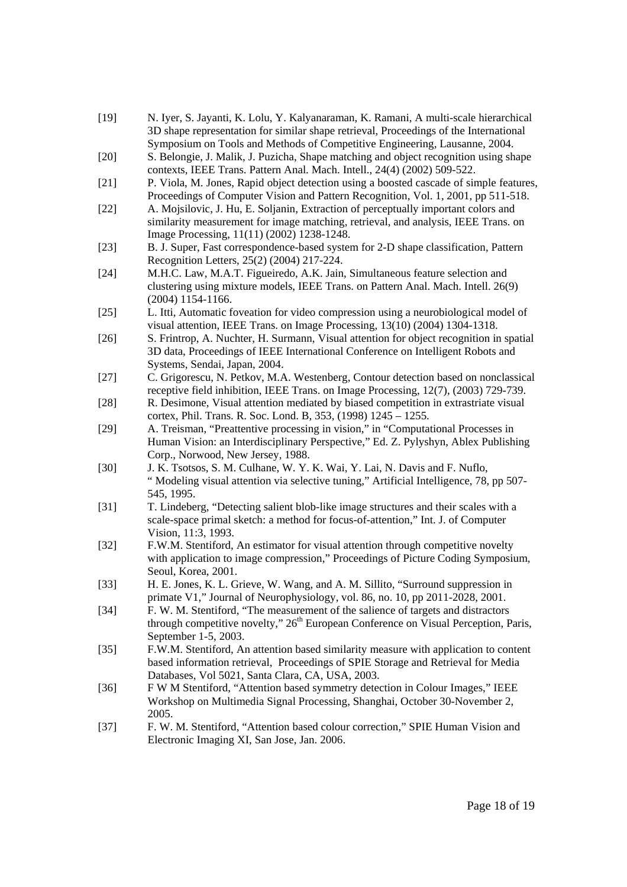- [19] N. Iyer, S. Jayanti, K. Lolu, Y. Kalyanaraman, K. Ramani, A multi-scale hierarchical 3D shape representation for similar shape retrieval, Proceedings of the International Symposium on Tools and Methods of Competitive Engineering, Lausanne, 2004.
- [20] S. Belongie, J. Malik, J. Puzicha, Shape matching and object recognition using shape contexts, IEEE Trans. Pattern Anal. Mach. Intell., 24(4) (2002) 509-522.
- [21] P. Viola, M. Jones, Rapid object detection using a boosted cascade of simple features, Proceedings of Computer Vision and Pattern Recognition, Vol. 1, 2001, pp 511-518.
- [22] A. Mojsilovic, J. Hu, E. Soljanin, Extraction of perceptually important colors and similarity measurement for image matching, retrieval, and analysis, IEEE Trans. on Image Processing, 11(11) (2002) 1238-1248.
- [23] B. J. Super, Fast correspondence-based system for 2-D shape classification, Pattern Recognition Letters, 25(2) (2004) 217-224.
- [24] M.H.C. Law, M.A.T. Figueiredo, A.K. Jain, Simultaneous feature selection and clustering using mixture models, IEEE Trans. on Pattern Anal. Mach. Intell. 26(9) (2004) 1154-1166.
- [25] L. Itti, Automatic foveation for video compression using a neurobiological model of visual attention, IEEE Trans. on Image Processing, 13(10) (2004) 1304-1318.
- [26] S. Frintrop, A. Nuchter, H. Surmann, Visual attention for object recognition in spatial 3D data, Proceedings of IEEE International Conference on Intelligent Robots and Systems, Sendai, Japan, 2004.
- [27] C. Grigorescu, N. Petkov, M.A. Westenberg, Contour detection based on nonclassical receptive field inhibition, IEEE Trans. on Image Processing, 12(7), (2003) 729-739.
- [28] R. Desimone, Visual attention mediated by biased competition in extrastriate visual cortex, Phil. Trans. R. Soc. Lond. B, 353, (1998) 1245 – 1255.
- [29] A. Treisman, "Preattentive processing in vision," in "Computational Processes in Human Vision: an Interdisciplinary Perspective," Ed. Z. Pylyshyn, Ablex Publishing Corp., Norwood, New Jersey, 1988.
- [30] J. K. Tsotsos, S. M. Culhane, W. Y. K. Wai, Y. Lai, N. Davis and F. Nuflo, " Modeling visual attention via selective tuning," Artificial Intelligence, 78, pp 507- 545, 1995.
- [31] T. Lindeberg, "Detecting salient blob-like image structures and their scales with a scale-space primal sketch: a method for focus-of-attention," Int. J. of Computer Vision, 11:3, 1993.
- [32] F.W.M. Stentiford, An estimator for visual attention through competitive novelty with application to image compression," Proceedings of Picture Coding Symposium, Seoul, Korea, 2001.
- [33] H. E. Jones, K. L. Grieve, W. Wang, and A. M. Sillito, "Surround suppression in primate V1," Journal of Neurophysiology, vol. 86, no. 10, pp 2011-2028, 2001.
- [34] F. W. M. Stentiford, "The measurement of the salience of targets and distractors through competitive novelty,"  $26<sup>th</sup>$  European Conference on Visual Perception, Paris, September 1-5, 2003.
- [35] F.W.M. Stentiford, An attention based similarity measure with application to content based information retrieval, Proceedings of SPIE Storage and Retrieval for Media Databases, Vol 5021, Santa Clara, CA, USA, 2003.
- [36] F W M Stentiford, "Attention based symmetry detection in Colour Images," IEEE Workshop on Multimedia Signal Processing, Shanghai, October 30-November 2, 2005.
- [37] F. W. M. Stentiford, "Attention based colour correction," SPIE Human Vision and Electronic Imaging XI, San Jose, Jan. 2006.